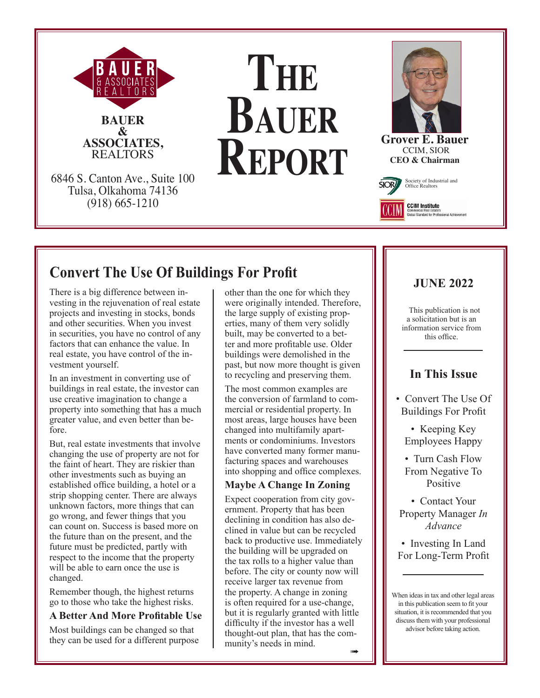

# **The Bauer Report**



**Grover E. Bauer** CCIM, SIOR **CEO & Chairman**

ommercial Real Estate<br>obal Standard for Prof



# **Convert The Use Of Buildings For Profit**

There is a big difference between investing in the rejuvenation of real estate projects and investing in stocks, bonds and other securities. When you invest in securities, you have no control of any factors that can enhance the value. In real estate, you have control of the investment yourself.

In an investment in converting use of buildings in real estate, the investor can use creative imagination to change a property into something that has a much greater value, and even better than before.

But, real estate investments that involve changing the use of property are not for the faint of heart. They are riskier than other investments such as buying an established office building, a hotel or a strip shopping center. There are always unknown factors, more things that can go wrong, and fewer things that you can count on. Success is based more on the future than on the present, and the future must be predicted, partly with respect to the income that the property will be able to earn once the use is changed.

Remember though, the highest returns go to those who take the highest risks.

## **A Better And More Profitable Use**

Most buildings can be changed so that they can be used for a different purpose other than the one for which they were originally intended. Therefore, the large supply of existing properties, many of them very solidly built, may be converted to a better and more profitable use. Older buildings were demolished in the past, but now more thought is given to recycling and preserving them.

The most common examples are the conversion of farmland to commercial or residential property. In most areas, large houses have been changed into multifamily apartments or condominiums. Investors have converted many former manufacturing spaces and warehouses into shopping and office complexes.

## **Maybe A Change In Zoning**

Expect cooperation from city government. Property that has been declining in condition has also declined in value but can be recycled back to productive use. Immediately the building will be upgraded on the tax rolls to a higher value than before. The city or county now will receive larger tax revenue from the property. A change in zoning is often required for a use-change, but it is regularly granted with little difficulty if the investor has a well thought-out plan, that has the community's needs in mind.

## **JUNE 2022**

This publication is not a solicitation but is an information service from this office.

## **In This Issue**

- Convert The Use Of Buildings For Profit
	- Keeping Key Employees Happy

• Turn Cash Flow From Negative To Positive

• Contact Your Property Manager *In Advance*

• Investing In Land For Long-Term Profit

When ideas in tax and other legal areas in this publication seem to fit your situation, it is recommended that you discuss them with your professional advisor before taking action.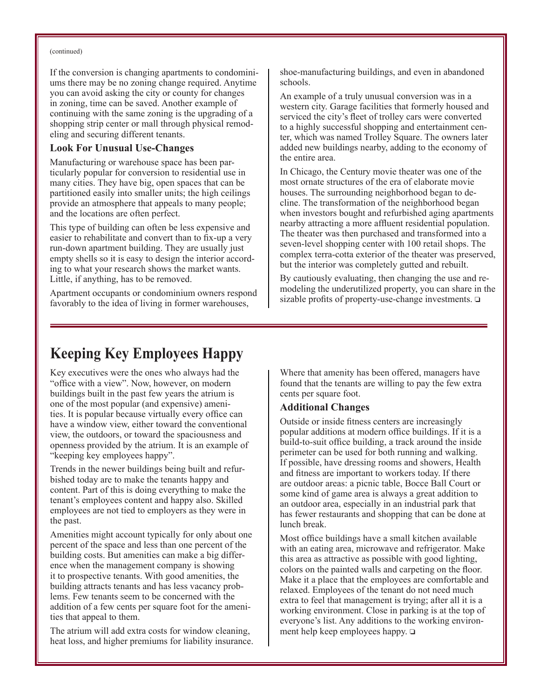#### (continued)

If the conversion is changing apartments to condominiums there may be no zoning change required. Anytime you can avoid asking the city or county for changes in zoning, time can be saved. Another example of continuing with the same zoning is the upgrading of a shopping strip center or mall through physical remodeling and securing different tenants.

#### **Look For Unusual Use-Changes**

Manufacturing or warehouse space has been particularly popular for conversion to residential use in many cities. They have big, open spaces that can be partitioned easily into smaller units; the high ceilings provide an atmosphere that appeals to many people; and the locations are often perfect.

This type of building can often be less expensive and easier to rehabilitate and convert than to fix-up a very run-down apartment building. They are usually just empty shells so it is easy to design the interior according to what your research shows the market wants. Little, if anything, has to be removed.

Apartment occupants or condominium owners respond favorably to the idea of living in former warehouses,

shoe-manufacturing buildings, and even in abandoned schools.

An example of a truly unusual conversion was in a western city. Garage facilities that formerly housed and serviced the city's fleet of trolley cars were converted to a highly successful shopping and entertainment center, which was named Trolley Square. The owners later added new buildings nearby, adding to the economy of the entire area.

In Chicago, the Century movie theater was one of the most ornate structures of the era of elaborate movie houses. The surrounding neighborhood began to decline. The transformation of the neighborhood began when investors bought and refurbished aging apartments nearby attracting a more affluent residential population. The theater was then purchased and transformed into a seven-level shopping center with 100 retail shops. The complex terra-cotta exterior of the theater was preserved, but the interior was completely gutted and rebuilt.

By cautiously evaluating, then changing the use and remodeling the underutilized property, you can share in the sizable profits of property-use-change investments.  $\Box$ 

## **Keeping Key Employees Happy**

Key executives were the ones who always had the "office with a view". Now, however, on modern buildings built in the past few years the atrium is one of the most popular (and expensive) amenities. It is popular because virtually every office can have a window view, either toward the conventional view, the outdoors, or toward the spaciousness and openness provided by the atrium. It is an example of "keeping key employees happy".

Trends in the newer buildings being built and refurbished today are to make the tenants happy and content. Part of this is doing everything to make the tenant's employees content and happy also. Skilled employees are not tied to employers as they were in the past.

Amenities might account typically for only about one percent of the space and less than one percent of the building costs. But amenities can make a big difference when the management company is showing it to prospective tenants. With good amenities, the building attracts tenants and has less vacancy problems. Few tenants seem to be concerned with the addition of a few cents per square foot for the amenities that appeal to them.

The atrium will add extra costs for window cleaning, heat loss, and higher premiums for liability insurance.

Where that amenity has been offered, managers have found that the tenants are willing to pay the few extra cents per square foot.

### **Additional Changes**

Outside or inside fitness centers are increasingly popular additions at modern office buildings. If it is a build-to-suit office building, a track around the inside perimeter can be used for both running and walking. If possible, have dressing rooms and showers, Health and fitness are important to workers today. If there are outdoor areas: a picnic table, Bocce Ball Court or some kind of game area is always a great addition to an outdoor area, especially in an industrial park that has fewer restaurants and shopping that can be done at lunch break.

Most office buildings have a small kitchen available with an eating area, microwave and refrigerator. Make this area as attractive as possible with good lighting, colors on the painted walls and carpeting on the floor. Make it a place that the employees are comfortable and relaxed. Employees of the tenant do not need much extra to feel that management is trying; after all it is a working environment. Close in parking is at the top of everyone's list. Any additions to the working environment help keep employees happy.  $\square$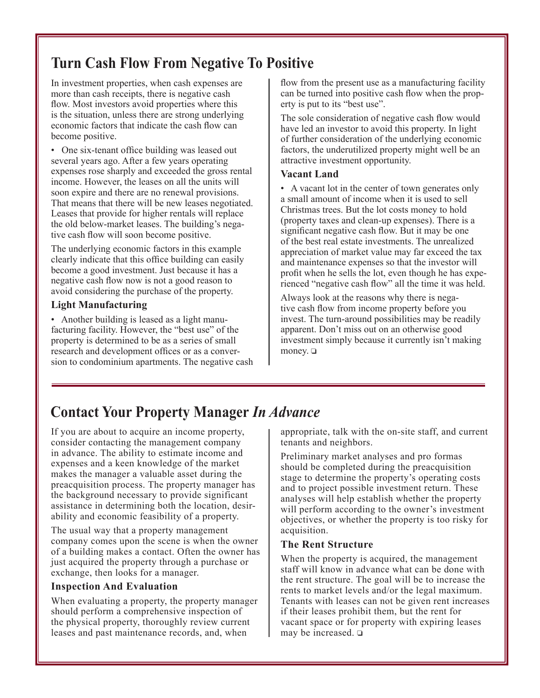## **Turn Cash Flow From Negative To Positive**

In investment properties, when cash expenses are more than cash receipts, there is negative cash flow. Most investors avoid properties where this is the situation, unless there are strong underlying economic factors that indicate the cash flow can become positive.

• One six-tenant office building was leased out several years ago. After a few years operating expenses rose sharply and exceeded the gross rental income. However, the leases on all the units will soon expire and there are no renewal provisions. That means that there will be new leases negotiated. Leases that provide for higher rentals will replace the old below-market leases. The building's negative cash flow will soon become positive.

The underlying economic factors in this example clearly indicate that this office building can easily become a good investment. Just because it has a negative cash flow now is not a good reason to avoid considering the purchase of the property.

## **Light Manufacturing**

• Another building is leased as a light manufacturing facility. However, the "best use" of the property is determined to be as a series of small research and development offices or as a conversion to condominium apartments. The negative cash flow from the present use as a manufacturing facility can be turned into positive cash flow when the property is put to its "best use".

The sole consideration of negative cash flow would have led an investor to avoid this property. In light of further consideration of the underlying economic factors, the underutilized property might well be an attractive investment opportunity.

#### **Vacant Land**

• A vacant lot in the center of town generates only a small amount of income when it is used to sell Christmas trees. But the lot costs money to hold (property taxes and clean-up expenses). There is a significant negative cash flow. But it may be one of the best real estate investments. The unrealized appreciation of market value may far exceed the tax and maintenance expenses so that the investor will profit when he sells the lot, even though he has experienced "negative cash flow" all the time it was held.

Always look at the reasons why there is negative cash flow from income property before you invest. The turn-around possibilities may be readily apparent. Don't miss out on an otherwise good investment simply because it currently isn't making money.  $\Box$ 

## **Contact Your Property Manager** *In Advance*

If you are about to acquire an income property, consider contacting the management company in advance. The ability to estimate income and expenses and a keen knowledge of the market makes the manager a valuable asset during the preacquisition process. The property manager has the background necessary to provide significant assistance in determining both the location, desirability and economic feasibility of a property.

The usual way that a property management company comes upon the scene is when the owner of a building makes a contact. Often the owner has just acquired the property through a purchase or exchange, then looks for a manager.

### **Inspection And Evaluation**

When evaluating a property, the property manager should perform a comprehensive inspection of the physical property, thoroughly review current leases and past maintenance records, and, when

appropriate, talk with the on-site staff, and current tenants and neighbors.

Preliminary market analyses and pro formas should be completed during the preacquisition stage to determine the property's operating costs and to project possible investment return. These analyses will help establish whether the property will perform according to the owner's investment objectives, or whether the property is too risky for acquisition.

### **The Rent Structure**

When the property is acquired, the management staff will know in advance what can be done with the rent structure. The goal will be to increase the rents to market levels and/or the legal maximum. Tenants with leases can not be given rent increases if their leases prohibit them, but the rent for vacant space or for property with expiring leases may be increased.  $\square$